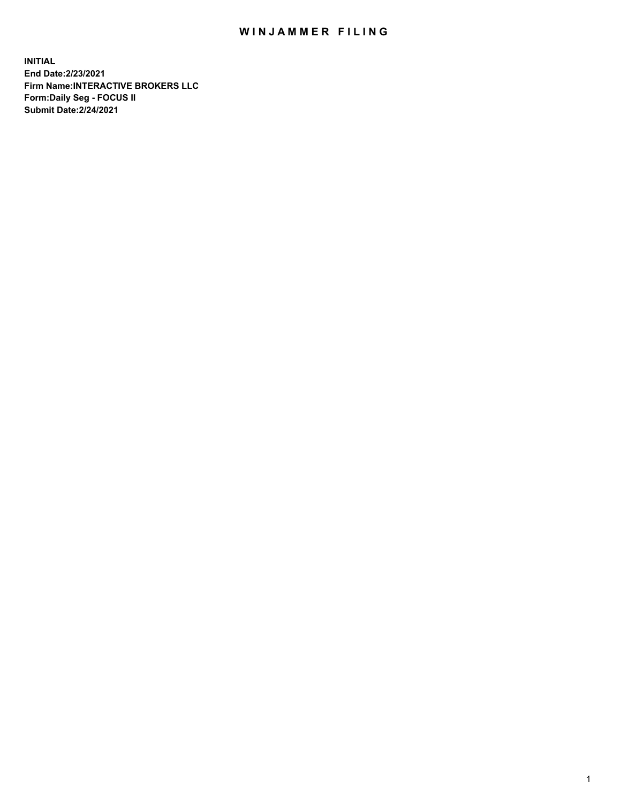## WIN JAMMER FILING

**INITIAL End Date:2/23/2021 Firm Name:INTERACTIVE BROKERS LLC Form:Daily Seg - FOCUS II Submit Date:2/24/2021**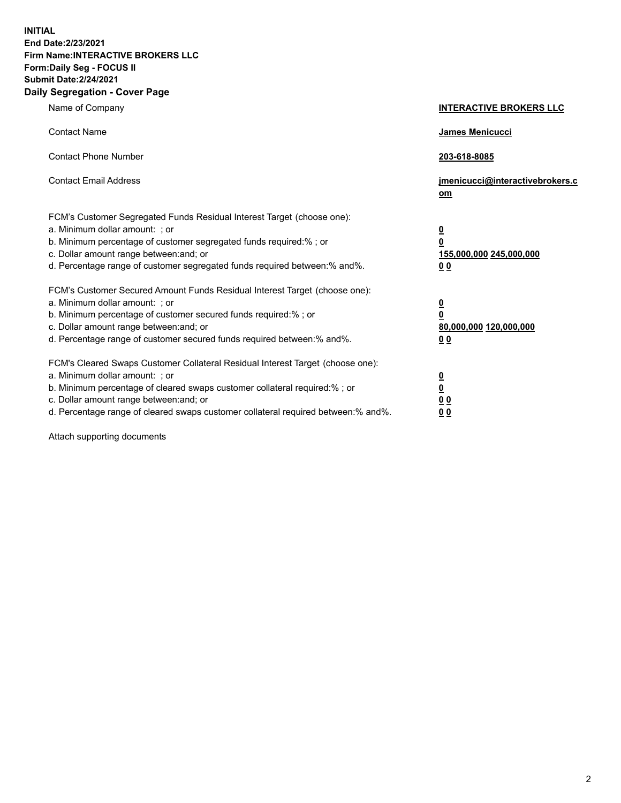**INITIAL End Date:2/23/2021 Firm Name:INTERACTIVE BROKERS LLC Form:Daily Seg - FOCUS II Submit Date:2/24/2021 Daily Segregation - Cover Page**

| Name of Company                                                                                                                                                                                                                                                                                                                | <b>INTERACTIVE BROKERS LLC</b>                                                                  |  |
|--------------------------------------------------------------------------------------------------------------------------------------------------------------------------------------------------------------------------------------------------------------------------------------------------------------------------------|-------------------------------------------------------------------------------------------------|--|
| <b>Contact Name</b>                                                                                                                                                                                                                                                                                                            | James Menicucci                                                                                 |  |
| <b>Contact Phone Number</b>                                                                                                                                                                                                                                                                                                    | 203-618-8085                                                                                    |  |
| <b>Contact Email Address</b>                                                                                                                                                                                                                                                                                                   | jmenicucci@interactivebrokers.c<br><u>om</u>                                                    |  |
| FCM's Customer Segregated Funds Residual Interest Target (choose one):<br>a. Minimum dollar amount: ; or<br>b. Minimum percentage of customer segregated funds required:% ; or<br>c. Dollar amount range between: and; or<br>d. Percentage range of customer segregated funds required between:% and%.                         | $\overline{\mathbf{0}}$<br>$\overline{\mathbf{0}}$<br>155,000,000 245,000,000<br>0 <sub>0</sub> |  |
| FCM's Customer Secured Amount Funds Residual Interest Target (choose one):<br>a. Minimum dollar amount: ; or<br>b. Minimum percentage of customer secured funds required:% ; or<br>c. Dollar amount range between: and; or<br>d. Percentage range of customer secured funds required between:% and%.                           | $\overline{\mathbf{0}}$<br>$\overline{\mathbf{0}}$<br>80,000,000 120,000,000<br>0 <sub>0</sub>  |  |
| FCM's Cleared Swaps Customer Collateral Residual Interest Target (choose one):<br>a. Minimum dollar amount: ; or<br>b. Minimum percentage of cleared swaps customer collateral required:% ; or<br>c. Dollar amount range between: and; or<br>d. Percentage range of cleared swaps customer collateral required between:% and%. | $\overline{\mathbf{0}}$<br>$\overline{\mathbf{0}}$<br>0 <sub>0</sub><br>0 <sub>0</sub>          |  |

Attach supporting documents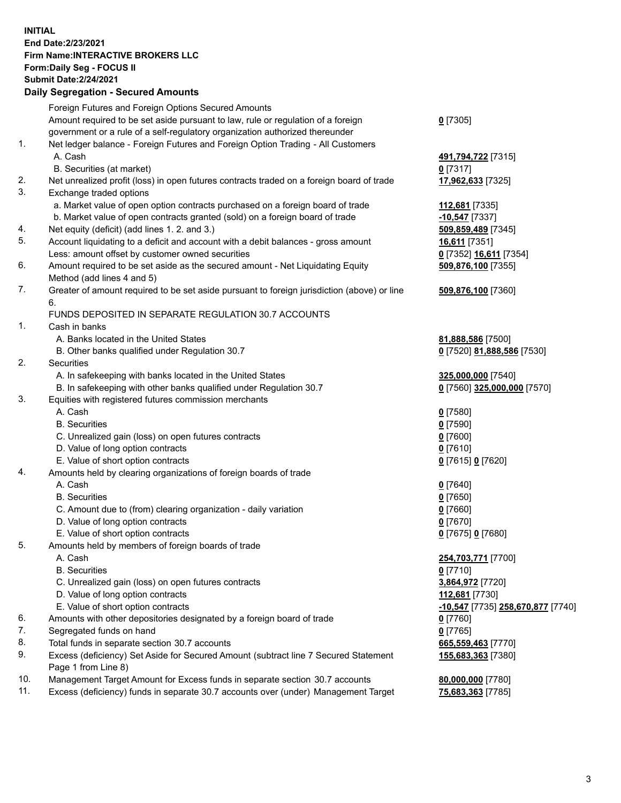**INITIAL End Date:2/23/2021 Firm Name:INTERACTIVE BROKERS LLC Form:Daily Seg - FOCUS II Submit Date:2/24/2021 Daily Segregation - Secured Amounts**

## Foreign Futures and Foreign Options Secured Amounts Amount required to be set aside pursuant to law, rule or regulation of a foreign government or a rule of a self-regulatory organization authorized thereunder **0** [7305] 1. Net ledger balance - Foreign Futures and Foreign Option Trading - All Customers A. Cash **491,794,722** [7315] B. Securities (at market) **0** [7317] 2. Net unrealized profit (loss) in open futures contracts traded on a foreign board of trade **17,962,633** [7325] 3. Exchange traded options a. Market value of open option contracts purchased on a foreign board of trade **112,681** [7335] b. Market value of open contracts granted (sold) on a foreign board of trade **-10,547** [7337] 4. Net equity (deficit) (add lines 1. 2. and 3.) **509,859,489** [7345] 5. Account liquidating to a deficit and account with a debit balances - gross amount **16,611** [7351] Less: amount offset by customer owned securities **0** [7352] **16,611** [7354] 6. Amount required to be set aside as the secured amount - Net Liquidating Equity Method (add lines 4 and 5) **509,876,100** [7355] 7. Greater of amount required to be set aside pursuant to foreign jurisdiction (above) or line 6. **509,876,100** [7360] FUNDS DEPOSITED IN SEPARATE REGULATION 30.7 ACCOUNTS 1. Cash in banks A. Banks located in the United States **81,888,586** [7500] B. Other banks qualified under Regulation 30.7 **0** [7520] **81,888,586** [7530] 2. Securities A. In safekeeping with banks located in the United States **325,000,000** [7540] B. In safekeeping with other banks qualified under Regulation 30.7 **0** [7560] **325,000,000** [7570] 3. Equities with registered futures commission merchants A. Cash **0** [7580] B. Securities **0** [7590] C. Unrealized gain (loss) on open futures contracts **0** [7600] D. Value of long option contracts **0** [7610] E. Value of short option contracts **0** [7615] **0** [7620] 4. Amounts held by clearing organizations of foreign boards of trade A. Cash **0** [7640] B. Securities **0** [7650] C. Amount due to (from) clearing organization - daily variation **0** [7660] D. Value of long option contracts **0** [7670] E. Value of short option contracts **0** [7675] **0** [7680] 5. Amounts held by members of foreign boards of trade A. Cash **254,703,771** [7700] B. Securities **0** [7710] C. Unrealized gain (loss) on open futures contracts **3,864,972** [7720] D. Value of long option contracts **112,681** [7730] E. Value of short option contracts **-10,547** [7735] **258,670,877** [7740] 6. Amounts with other depositories designated by a foreign board of trade **0** [7760] 7. Segregated funds on hand **0** [7765] 8. Total funds in separate section 30.7 accounts **665,559,463** [7770] 9. Excess (deficiency) Set Aside for Secured Amount (subtract line 7 Secured Statement Page 1 from Line 8) **155,683,363** [7380] 10. Management Target Amount for Excess funds in separate section 30.7 accounts **80,000,000** [7780] 11. Excess (deficiency) funds in separate 30.7 accounts over (under) Management Target **75,683,363** [7785]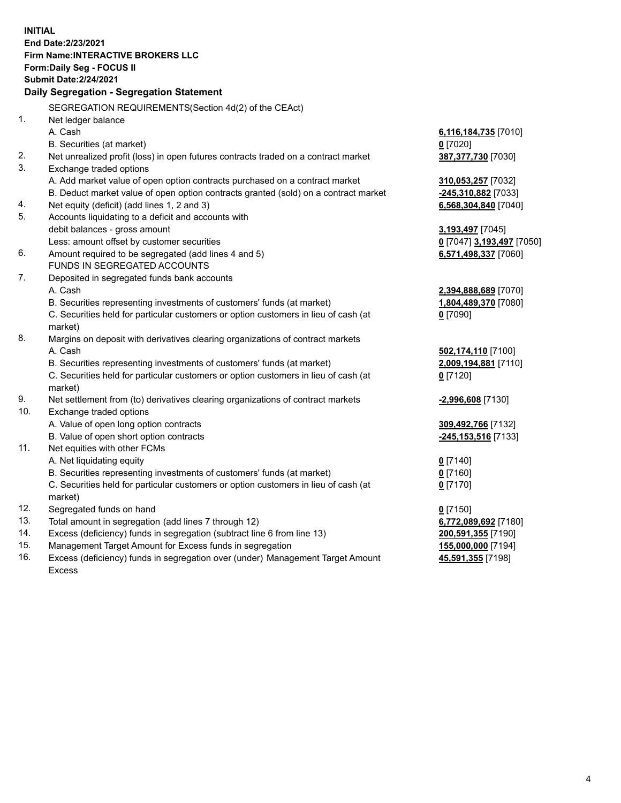**INITIAL End Date:2/23/2021 Firm Name:INTERACTIVE BROKERS LLC Form:Daily Seg - FOCUS II Submit Date:2/24/2021 Daily Segregation - Segregation Statement** SEGREGATION REQUIREMENTS(Section 4d(2) of the CEAct) 1. Net ledger balance A. Cash **6,116,184,735** [7010] B. Securities (at market) **0** [7020] 2. Net unrealized profit (loss) in open futures contracts traded on a contract market **387,377,730** [7030] 3. Exchange traded options A. Add market value of open option contracts purchased on a contract market **310,053,257** [7032] B. Deduct market value of open option contracts granted (sold) on a contract market **-245,310,882** [7033] 4. Net equity (deficit) (add lines 1, 2 and 3) **6,568,304,840** [7040] 5. Accounts liquidating to a deficit and accounts with debit balances - gross amount **3,193,497** [7045] Less: amount offset by customer securities **0** [7047] **3,193,497** [7050] 6. Amount required to be segregated (add lines 4 and 5) **6,571,498,337** [7060] FUNDS IN SEGREGATED ACCOUNTS 7. Deposited in segregated funds bank accounts A. Cash **2,394,888,689** [7070] B. Securities representing investments of customers' funds (at market) **1,804,489,370** [7080] C. Securities held for particular customers or option customers in lieu of cash (at market) **0** [7090] 8. Margins on deposit with derivatives clearing organizations of contract markets A. Cash **502,174,110** [7100] B. Securities representing investments of customers' funds (at market) **2,009,194,881** [7110] C. Securities held for particular customers or option customers in lieu of cash (at market) **0** [7120] 9. Net settlement from (to) derivatives clearing organizations of contract markets **-2,996,608** [7130] 10. Exchange traded options A. Value of open long option contracts **309,492,766** [7132] B. Value of open short option contracts **-245,153,516** [7133] 11. Net equities with other FCMs A. Net liquidating equity **0** [7140] B. Securities representing investments of customers' funds (at market) **0** [7160] C. Securities held for particular customers or option customers in lieu of cash (at market) **0** [7170] 12. Segregated funds on hand **0** [7150] 13. Total amount in segregation (add lines 7 through 12) **6,772,089,692** [7180] 14. Excess (deficiency) funds in segregation (subtract line 6 from line 13) **200,591,355** [7190] 15. Management Target Amount for Excess funds in segregation **155,000,000** [7194] 16. Excess (deficiency) funds in segregation over (under) Management Target Amount **45,591,355** [7198]

Excess